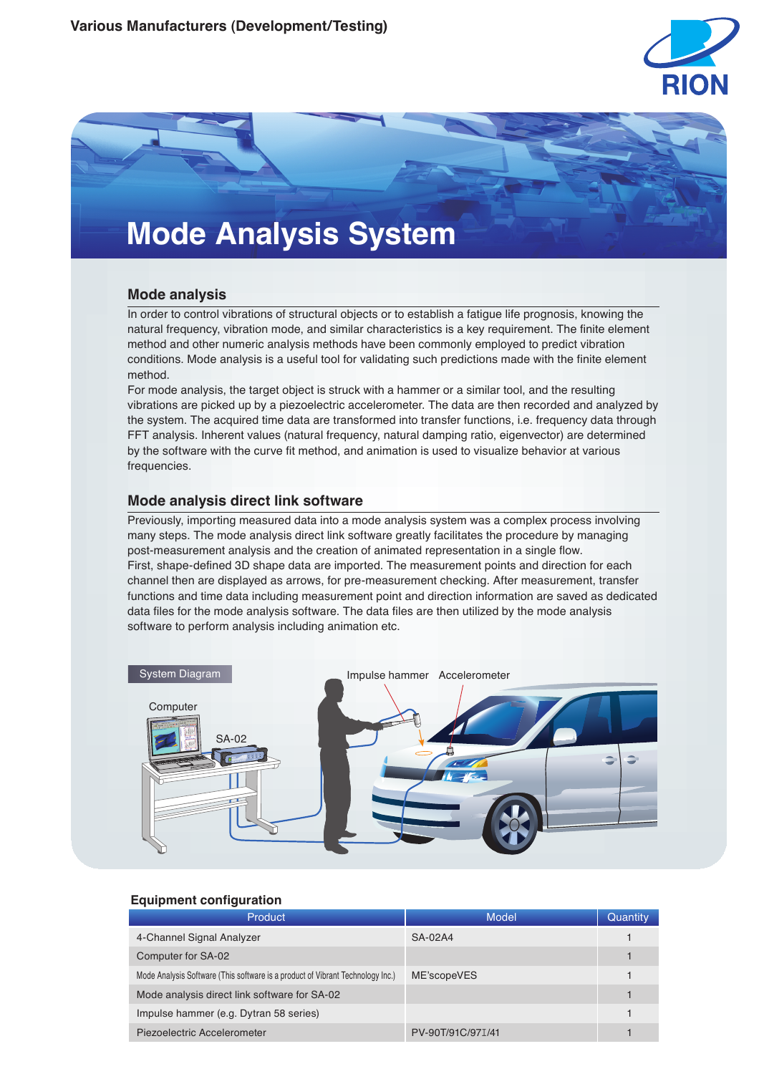



# **Mode analysis**

In order to control vibrations of structural objects or to establish a fatigue life prognosis, knowing the natural frequency, vibration mode, and similar characteristics is a key requirement. The finite element method and other numeric analysis methods have been commonly employed to predict vibration conditions. Mode analysis is a useful tool for validating such predictions made with the finite element method.

For mode analysis, the target object is struck with a hammer or a similar tool, and the resulting vibrations are picked up by a piezoelectric accelerometer. The data are then recorded and analyzed by the system. The acquired time data are transformed into transfer functions, i.e. frequency data through FFT analysis. Inherent values (natural frequency, natural damping ratio, eigenvector) are determined by the software with the curve fit method, and animation is used to visualize behavior at various frequencies.

# **Mode analysis direct link software**

Previously, importing measured data into a mode analysis system was a complex process involving many steps. The mode analysis direct link software greatly facilitates the procedure by managing post-measurement analysis and the creation of animated representation in a single flow. First, shape-defined 3D shape data are imported. The measurement points and direction for each channel then are displayed as arrows, for pre-measurement checking. After measurement, transfer functions and time data including measurement point and direction information are saved as dedicated data files for the mode analysis software. The data files are then utilized by the mode analysis software to perform analysis including animation etc.



## **Equipment configuration**

| <b>Product</b>                                                                 | Model             | Quantity |
|--------------------------------------------------------------------------------|-------------------|----------|
| 4-Channel Signal Analyzer                                                      | $SA-02A4$         |          |
| Computer for SA-02                                                             |                   |          |
| Mode Analysis Software (This software is a product of Vibrant Technology Inc.) | ME'scopeVES       |          |
| Mode analysis direct link software for SA-02                                   |                   |          |
| Impulse hammer (e.g. Dytran 58 series)                                         |                   |          |
| Piezoelectric Accelerometer                                                    | PV-90T/91C/97I/41 |          |